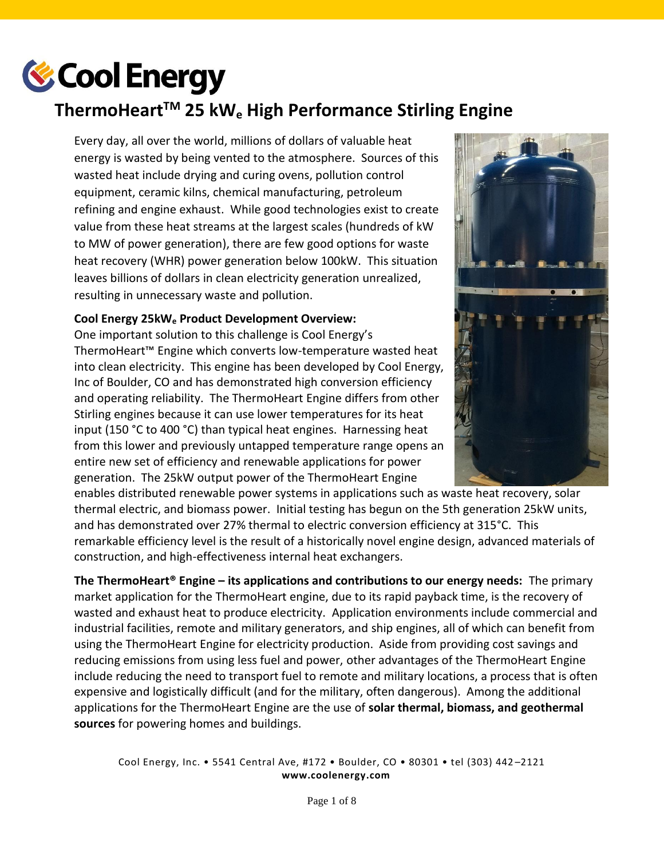

# **ThermoHeartTM 25 kW<sup>e</sup> High Performance Stirling Engine**

Every day, all over the world, millions of dollars of valuable heat energy is wasted by being vented to the atmosphere. Sources of this wasted heat include drying and curing ovens, pollution control equipment, ceramic kilns, chemical manufacturing, petroleum refining and engine exhaust. While good technologies exist to create value from these heat streams at the largest scales (hundreds of kW to MW of power generation), there are few good options for waste heat recovery (WHR) power generation below 100kW. This situation leaves billions of dollars in clean electricity generation unrealized, resulting in unnecessary waste and pollution.

#### **Cool Energy 25kW<sup>e</sup> Product Development Overview:**

One important solution to this challenge is Cool Energy's ThermoHeart™ Engine which converts low-temperature wasted heat into clean electricity. This engine has been developed by Cool Energy, Inc of Boulder, CO and has demonstrated high conversion efficiency and operating reliability. The ThermoHeart Engine differs from other Stirling engines because it can use lower temperatures for its heat input (150 °C to 400 °C) than typical heat engines. Harnessing heat from this lower and previously untapped temperature range opens an entire new set of efficiency and renewable applications for power generation. The 25kW output power of the ThermoHeart Engine

enables distributed renewable power systems in applications such as waste heat recovery, solar thermal electric, and biomass power. Initial testing has begun on the 5th generation 25kW units, and has demonstrated over 27% thermal to electric conversion efficiency at 315°C. This remarkable efficiency level is the result of a historically novel engine design, advanced materials of construction, and high-effectiveness internal heat exchangers.

**The ThermoHeart® Engine – its applications and contributions to our energy needs:** The primary market application for the ThermoHeart engine, due to its rapid payback time, is the recovery of wasted and exhaust heat to produce electricity. Application environments include commercial and industrial facilities, remote and military generators, and ship engines, all of which can benefit from using the ThermoHeart Engine for electricity production. Aside from providing cost savings and reducing emissions from using less fuel and power, other advantages of the ThermoHeart Engine include reducing the need to transport fuel to remote and military locations, a process that is often expensive and logistically difficult (and for the military, often dangerous). Among the additional applications for the ThermoHeart Engine are the use of **solar thermal, biomass, and geothermal sources** for powering homes and buildings.

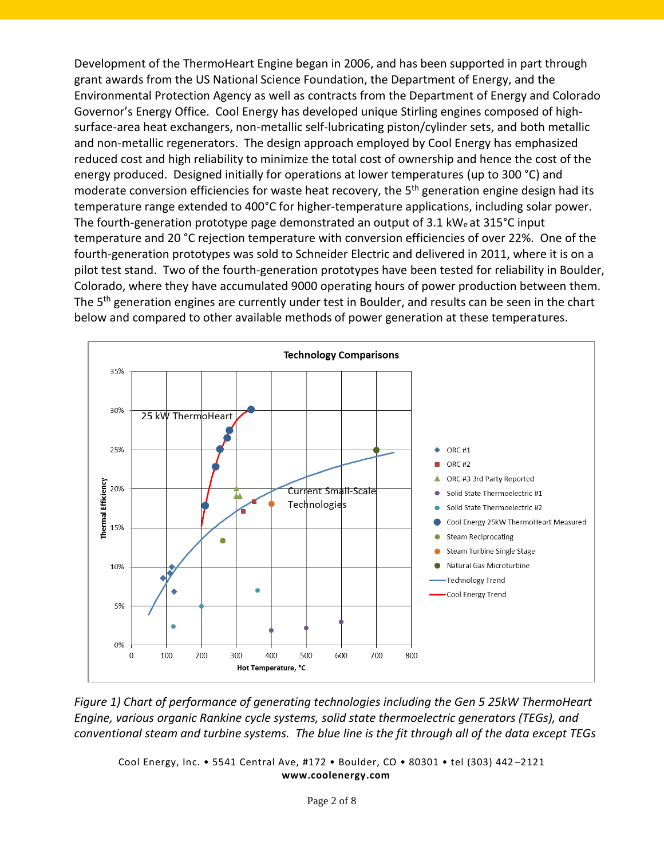Development of the ThermoHeart Engine began in 2006, and has been supported in part through grant awards from the US National Science Foundation, the Department of Energy, and the Environmental Protection Agency as well as contracts from the Department of Energy and Colorado Governor's Energy Office. Cool Energy has developed unique Stirling engines composed of highsurface-area heat exchangers, non-metallic self-lubricating piston/cylinder sets, and both metallic and non-metallic regenerators. The design approach employed by Cool Energy has emphasized reduced cost and high reliability to minimize the total cost of ownership and hence the cost of the energy produced. Designed initially for operations at lower temperatures (up to 300 °C) and moderate conversion efficiencies for waste heat recovery, the 5<sup>th</sup> generation engine design had its temperature range extended to 400°C for higher-temperature applications, including solar power. The fourth-generation prototype page demonstrated an output of  $3.1 \text{ kW}_e$  at  $315^{\circ}$ C input temperature and 20 °C rejection temperature with conversion efficiencies of over 22%. One of the fourth-generation prototypes was sold to Schneider Electric and delivered in 2011, where it is on a pilot test stand. Two of the fourth-generation prototypes have been tested for reliability in Boulder, Colorado, where they have accumulated 9000 operating hours of power production between them. The 5<sup>th</sup> generation engines are currently under test in Boulder, and results can be seen in the chart below and compared to other available methods of power generation at these temperatures.



*Figure 1) Chart of performance of generating technologies including the Gen 5 25kW ThermoHeart Engine, various organic Rankine cycle systems, solid state thermoelectric generators (TEGs), and conventional steam and turbine systems. The blue line is the fit through all of the data except TEGs*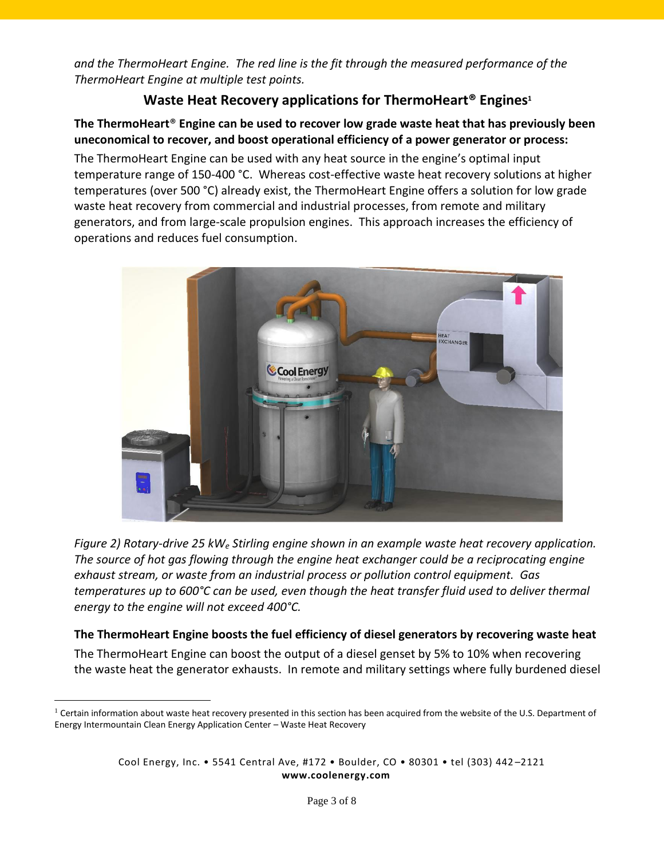*and the ThermoHeart Engine. The red line is the fit through the measured performance of the ThermoHeart Engine at multiple test points.* 

# **Waste Heat Recovery applications for ThermoHeart® Engines<sup>1</sup>**

## **The ThermoHeart**® **Engine can be used to recover low grade waste heat that has previously been uneconomical to recover, and boost operational efficiency of a power generator or process:**

The ThermoHeart Engine can be used with any heat source in the engine's optimal input temperature range of 150-400 °C. Whereas cost-effective waste heat recovery solutions at higher temperatures (over 500 °C) already exist, the ThermoHeart Engine offers a solution for low grade waste heat recovery from commercial and industrial processes, from remote and military generators, and from large-scale propulsion engines. This approach increases the efficiency of operations and reduces fuel consumption.



*Figure 2) Rotary-drive 25 kW<sup>e</sup> Stirling engine shown in an example waste heat recovery application. The source of hot gas flowing through the engine heat exchanger could be a reciprocating engine exhaust stream, or waste from an industrial process or pollution control equipment. Gas temperatures up to 600°C can be used, even though the heat transfer fluid used to deliver thermal energy to the engine will not exceed 400°C.*

## **The ThermoHeart Engine boosts the fuel efficiency of diesel generators by recovering waste heat**

The ThermoHeart Engine can boost the output of a diesel genset by 5% to 10% when recovering the waste heat the generator exhausts. In remote and military settings where fully burdened diesel

 $\overline{a}$ 

 $1$  Certain information about waste heat recovery presented in this section has been acquired from the website of the U.S. Department of Energy Intermountain Clean Energy Application Center – Waste Heat Recovery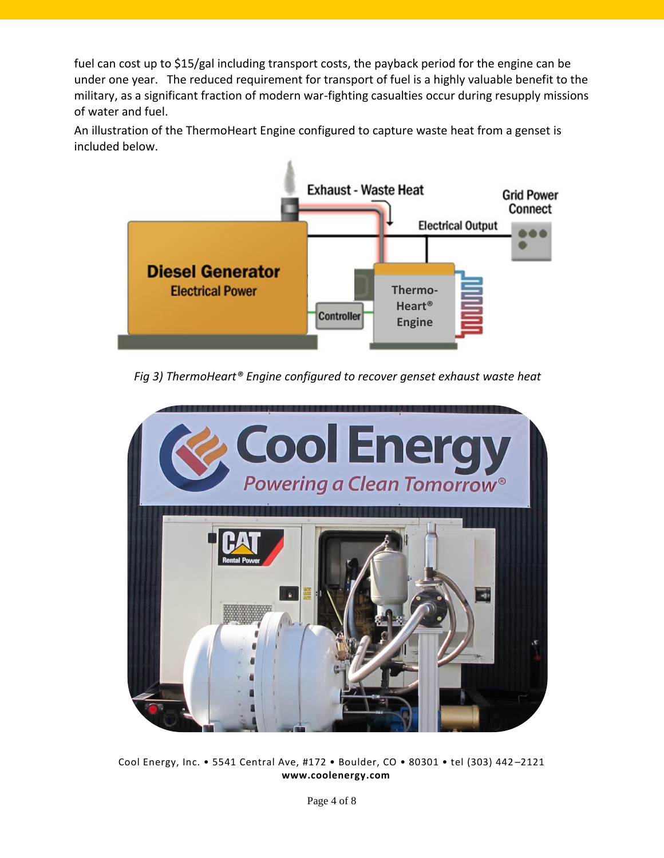fuel can cost up to \$15/gal including transport costs, the payback period for the engine can be under one year. The reduced requirement for transport of fuel is a highly valuable benefit to the military, as a significant fraction of modern war-fighting casualties occur during resupply missions of water and fuel.

An illustration of the ThermoHeart Engine configured to capture waste heat from a genset is included below.



*Fig 3) ThermoHeart® Engine configured to recover genset exhaust waste heat*

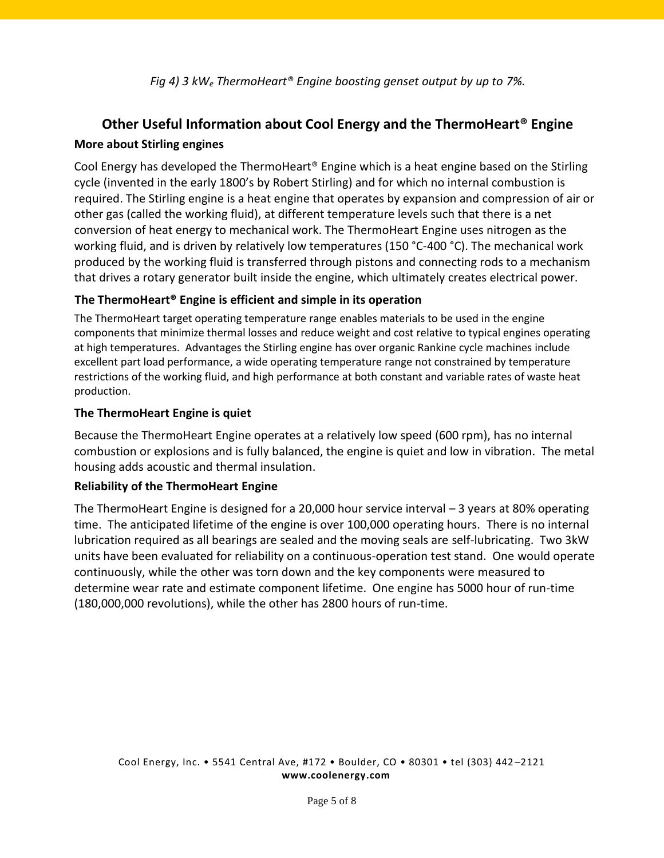*Fig 4) 3 kW<sup>e</sup> ThermoHeart® Engine boosting genset output by up to 7%.*

# **Other Useful Information about Cool Energy and the ThermoHeart® Engine**

#### **More about Stirling engines**

Cool Energy has developed the ThermoHeart® Engine which is a heat engine based on the Stirling cycle (invented in the early 1800's by Robert Stirling) and for which no internal combustion is required. The Stirling engine is a [heat engine](http://en.wikipedia.org/wiki/Heat_engine) that operates by expansion and compression of air or other gas (called the working fluid), at different temperature levels such that there is a net conversion of [heat](http://en.wikipedia.org/wiki/Heat) energy to mechanical work. The ThermoHeart Engine uses nitrogen as the working fluid, and is driven by relatively low temperatures (150 °C-400 °C). The mechanical work produced by the working fluid is transferred through pistons and connecting rods to a mechanism that drives a rotary generator built inside the engine, which ultimately creates electrical power.

### **The ThermoHeart® Engine is efficient and simple in its operation**

The ThermoHeart target operating temperature range enables materials to be used in the engine components that minimize thermal losses and reduce weight and cost relative to typical engines operating at high temperatures. Advantages the Stirling engine has over organic Rankine cycle machines include excellent part load performance, a wide operating temperature range not constrained by temperature restrictions of the working fluid, and high performance at both constant and variable rates of waste heat production.

### **The ThermoHeart Engine is quiet**

Because the ThermoHeart Engine operates at a relatively low speed (600 rpm), has no internal combustion or explosions and is fully balanced, the engine is quiet and low in vibration. The metal housing adds acoustic and thermal insulation.

### **Reliability of the ThermoHeart Engine**

The ThermoHeart Engine is designed for a 20,000 hour service interval – 3 years at 80% operating time. The anticipated lifetime of the engine is over 100,000 operating hours. There is no internal lubrication required as all bearings are sealed and the moving seals are self-lubricating. Two 3kW units have been evaluated for reliability on a continuous-operation test stand. One would operate continuously, while the other was torn down and the key components were measured to determine wear rate and estimate component lifetime. One engine has 5000 hour of run-time (180,000,000 revolutions), while the other has 2800 hours of run-time.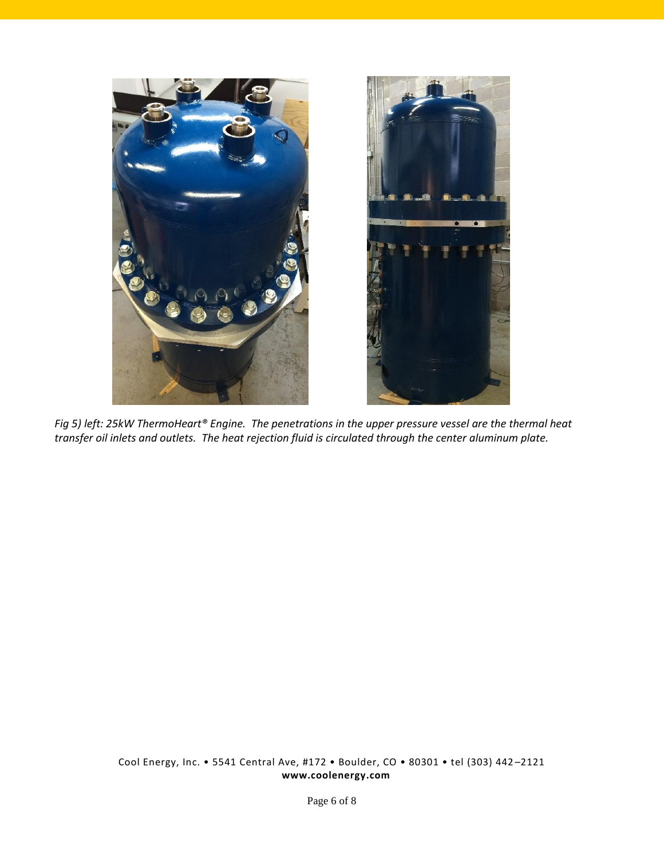



*Fig 5) left: 25kW ThermoHeart® Engine. The penetrations in the upper pressure vessel are the thermal heat transfer oil inlets and outlets. The heat rejection fluid is circulated through the center aluminum plate.*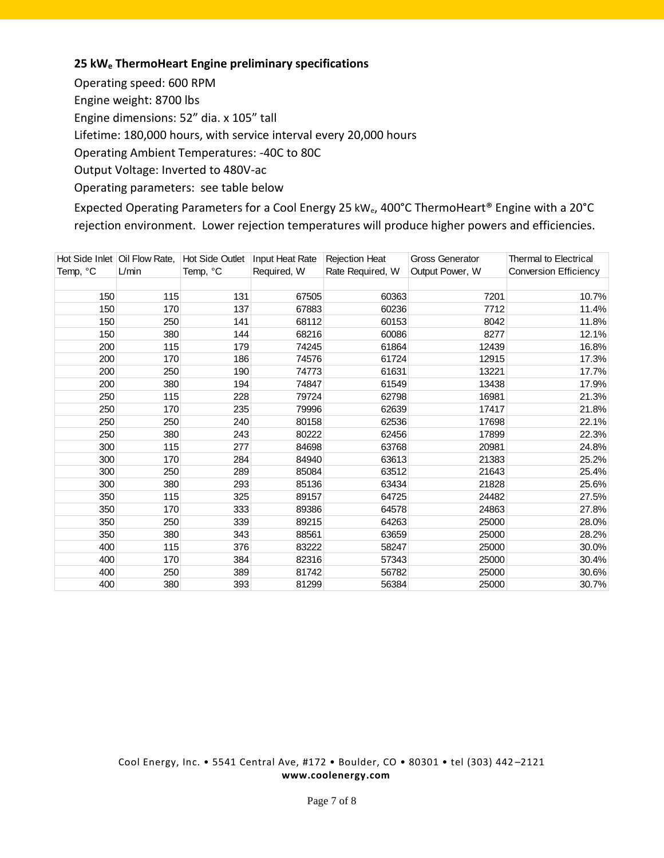#### **25 kW<sup>e</sup> ThermoHeart Engine preliminary specifications**

Operating speed: 600 RPM Engine weight: 8700 lbs Engine dimensions: 52" dia. x 105" tall Lifetime: 180,000 hours, with service interval every 20,000 hours Operating Ambient Temperatures: -40C to 80C Output Voltage: Inverted to 480V-ac Operating parameters: see table below

Expected Operating Parameters for a Cool Energy 25 kW<sub>e</sub>, 400°C ThermoHeart® Engine with a 20°C rejection environment. Lower rejection temperatures will produce higher powers and efficiencies.

|          | Hot Side Inlet   Oil Flow Rate, | <b>Hot Side Outlet</b> | Input Heat Rate | <b>Rejection Heat</b> | <b>Gross Generator</b> | Thermal to Electrical |
|----------|---------------------------------|------------------------|-----------------|-----------------------|------------------------|-----------------------|
| Temp, °C | L/min                           | Temp, °C               | Required, W     | Rate Required, W      | Output Power, W        | Conversion Efficiency |
|          |                                 |                        |                 |                       |                        |                       |
| 150      | 115                             | 131                    | 67505           | 60363                 | 7201                   | 10.7%                 |
| 150      | 170                             | 137                    | 67883           | 60236                 | 7712                   | 11.4%                 |
| 150      | 250                             | 141                    | 68112           | 60153                 | 8042                   | 11.8%                 |
| 150      | 380                             | 144                    | 68216           | 60086                 | 8277                   | 12.1%                 |
| 200      | 115                             | 179                    | 74245           | 61864                 | 12439                  | 16.8%                 |
| 200      | 170                             | 186                    | 74576           | 61724                 | 12915                  | 17.3%                 |
| 200      | 250                             | 190                    | 74773           | 61631                 | 13221                  | 17.7%                 |
| 200      | 380                             | 194                    | 74847           | 61549                 | 13438                  | 17.9%                 |
| 250      | 115                             | 228                    | 79724           | 62798                 | 16981                  | 21.3%                 |
| 250      | 170                             | 235                    | 79996           | 62639                 | 17417                  | 21.8%                 |
| 250      | 250                             | 240                    | 80158           | 62536                 | 17698                  | 22.1%                 |
| 250      | 380                             | 243                    | 80222           | 62456                 | 17899                  | 22.3%                 |
| 300      | 115                             | 277                    | 84698           | 63768                 | 20981                  | 24.8%                 |
| 300      | 170                             | 284                    | 84940           | 63613                 | 21383                  | 25.2%                 |
| 300      | 250                             | 289                    | 85084           | 63512                 | 21643                  | 25.4%                 |
| 300      | 380                             | 293                    | 85136           | 63434                 | 21828                  | 25.6%                 |
| 350      | 115                             | 325                    | 89157           | 64725                 | 24482                  | 27.5%                 |
| 350      | 170                             | 333                    | 89386           | 64578                 | 24863                  | 27.8%                 |
| 350      | 250                             | 339                    | 89215           | 64263                 | 25000                  | 28.0%                 |
| 350      | 380                             | 343                    | 88561           | 63659                 | 25000                  | 28.2%                 |
| 400      | 115                             | 376                    | 83222           | 58247                 | 25000                  | 30.0%                 |
| 400      | 170                             | 384                    | 82316           | 57343                 | 25000                  | 30.4%                 |
| 400      | 250                             | 389                    | 81742           | 56782                 | 25000                  | 30.6%                 |
| 400      | 380                             | 393                    | 81299           | 56384                 | 25000                  | 30.7%                 |